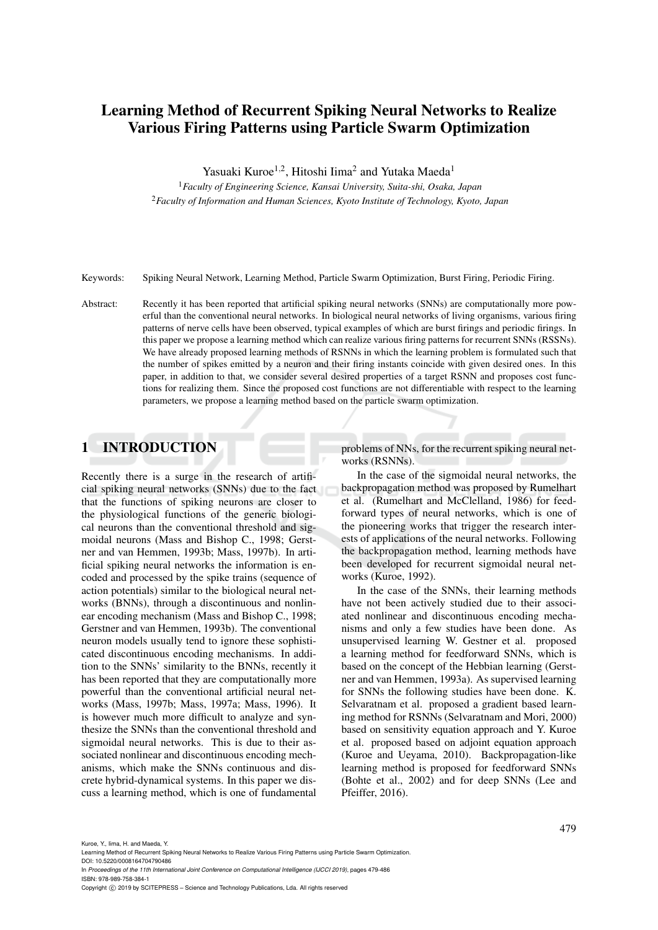# Learning Method of Recurrent Spiking Neural Networks to Realize Various Firing Patterns using Particle Swarm Optimization

Yasuaki Kuroe<sup>1,2</sup>, Hitoshi Iima<sup>2</sup> and Yutaka Maeda<sup>1</sup>

<sup>1</sup>*Faculty of Engineering Science, Kansai University, Suita-shi, Osaka, Japan* <sup>2</sup>*Faculty of Information and Human Sciences, Kyoto Institute of Technology, Kyoto, Japan*

Keywords: Spiking Neural Network, Learning Method, Particle Swarm Optimization, Burst Firing, Periodic Firing.

Abstract: Recently it has been reported that artificial spiking neural networks (SNNs) are computationally more powerful than the conventional neural networks. In biological neural networks of living organisms, various firing patterns of nerve cells have been observed, typical examples of which are burst firings and periodic firings. In this paper we propose a learning method which can realize various firing patterns for recurrent SNNs (RSSNs). We have already proposed learning methods of RSNNs in which the learning problem is formulated such that the number of spikes emitted by a neuron and their firing instants coincide with given desired ones. In this paper, in addition to that, we consider several desired properties of a target RSNN and proposes cost functions for realizing them. Since the proposed cost functions are not differentiable with respect to the learning parameters, we propose a learning method based on the particle swarm optimization.

# 1 INTRODUCTION

Recently there is a surge in the research of artificial spiking neural networks (SNNs) due to the fact that the functions of spiking neurons are closer to the physiological functions of the generic biological neurons than the conventional threshold and sigmoidal neurons (Mass and Bishop C., 1998; Gerstner and van Hemmen, 1993b; Mass, 1997b). In artificial spiking neural networks the information is encoded and processed by the spike trains (sequence of action potentials) similar to the biological neural networks (BNNs), through a discontinuous and nonlinear encoding mechanism (Mass and Bishop C., 1998; Gerstner and van Hemmen, 1993b). The conventional neuron models usually tend to ignore these sophisticated discontinuous encoding mechanisms. In addition to the SNNs' similarity to the BNNs, recently it has been reported that they are computationally more powerful than the conventional artificial neural networks (Mass, 1997b; Mass, 1997a; Mass, 1996). It is however much more difficult to analyze and synthesize the SNNs than the conventional threshold and sigmoidal neural networks. This is due to their associated nonlinear and discontinuous encoding mechanisms, which make the SNNs continuous and discrete hybrid-dynamical systems. In this paper we discuss a learning method, which is one of fundamental

problems of NNs, for the recurrent spiking neural networks (RSNNs).

In the case of the sigmoidal neural networks, the backpropagation method was proposed by Rumelhart et al. (Rumelhart and McClelland, 1986) for feedforward types of neural networks, which is one of the pioneering works that trigger the research interests of applications of the neural networks. Following the backpropagation method, learning methods have been developed for recurrent sigmoidal neural networks (Kuroe, 1992).

In the case of the SNNs, their learning methods have not been actively studied due to their associated nonlinear and discontinuous encoding mechanisms and only a few studies have been done. As unsupervised learning W. Gestner et al. proposed a learning method for feedforward SNNs, which is based on the concept of the Hebbian learning (Gerstner and van Hemmen, 1993a). As supervised learning for SNNs the following studies have been done. K. Selvaratnam et al. proposed a gradient based learning method for RSNNs (Selvaratnam and Mori, 2000) based on sensitivity equation approach and Y. Kuroe et al. proposed based on adjoint equation approach (Kuroe and Ueyama, 2010). Backpropagation-like learning method is proposed for feedforward SNNs (Bohte et al., 2002) and for deep SNNs (Lee and Pfeiffer, 2016).

Kuroe, Y., Iima, H. and Maeda, Y.

Learning Method of Recurrent Spiking Neural Networks to Realize Various Firing Patterns using Particle Swarm Optimization. DOI: 10.5220/0008164704790486

In *Proceedings of the 11th International Joint Conference on Computational Intelligence (IJCCI 2019)*, pages 479-486 ISBN: 978-989-758-384-1

Copyright (C) 2019 by SCITEPRESS - Science and Technology Publications, Lda. All rights reserved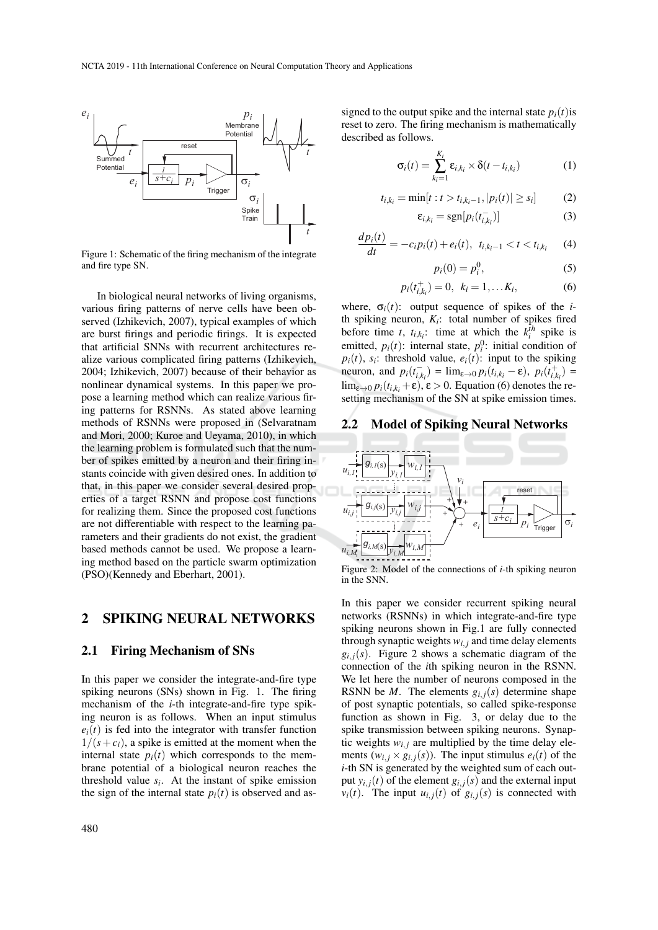

Figure 1: Schematic of the firing mechanism of the integrate and fire type SN.

In biological neural networks of living organisms, various firing patterns of nerve cells have been observed (Izhikevich, 2007), typical examples of which are burst firings and periodic firings. It is expected that artificial SNNs with recurrent architectures realize various complicated firing patterns (Izhikevich, 2004; Izhikevich, 2007) because of their behavior as nonlinear dynamical systems. In this paper we propose a learning method which can realize various firing patterns for RSNNs. As stated above learning methods of RSNNs were proposed in (Selvaratnam and Mori, 2000; Kuroe and Ueyama, 2010), in which the learning problem is formulated such that the number of spikes emitted by a neuron and their firing instants coincide with given desired ones. In addition to that, in this paper we consider several desired properties of a target RSNN and propose cost functions for realizing them. Since the proposed cost functions are not differentiable with respect to the learning parameters and their gradients do not exist, the gradient based methods cannot be used. We propose a learning method based on the particle swarm optimization (PSO)(Kennedy and Eberhart, 2001).

# 2 SPIKING NEURAL NETWORKS

### 2.1 Firing Mechanism of SNs

In this paper we consider the integrate-and-fire type spiking neurons (SNs) shown in Fig. 1. The firing mechanism of the *i*-th integrate-and-fire type spiking neuron is as follows. When an input stimulus  $e_i(t)$  is fed into the integrator with transfer function  $1/(s+c_i)$ , a spike is emitted at the moment when the internal state  $p_i(t)$  which corresponds to the membrane potential of a biological neuron reaches the threshold value  $s_i$ . At the instant of spike emission the sign of the internal state  $p_i(t)$  is observed and assigned to the output spike and the internal state  $p_i(t)$  is reset to zero. The firing mechanism is mathematically described as follows.

$$
\sigma_i(t) = \sum_{k_i=1}^{K_i} \varepsilon_{i,k_i} \times \delta(t - t_{i,k_i})
$$
 (1)

$$
t_{i,k_i} = \min[t : t > t_{i,k_i-1}, |p_i(t)| \ge s_i]
$$
 (2)

$$
\varepsilon_{i,k_i} = \text{sgn}[p_i(t_{i,k_i})] \tag{3}
$$

$$
\frac{dp_i(t)}{dt} = -c_i p_i(t) + e_i(t), \ \ t_{i,k_i-1} < t < t_{i,k_i} \tag{4}
$$

$$
p_i(0) = p_i^0,\t\t(5)
$$

$$
p_i(t_{i,k_i}^+) = 0, \ \ k_i = 1, \dots K_i,
$$
 (6)

where,  $\sigma_i(t)$ : output sequence of spikes of the *i*th spiking neuron,  $K_i$ : total number of spikes fired before time *t*,  $t_{i,k_i}$ : time at which the  $k_i^{\bar{t}h}$  spike is emitted,  $p_i(t)$ : internal state,  $p_i^0$ : initial condition of  $p_i(t)$ ,  $s_i$ : threshold value,  $e_i(t)$ : input to the spiking neuron, and  $p_i(t_{i,k_i}^-) = \lim_{\varepsilon \to 0} p_i(t_{i,k_i}^- - \varepsilon)$ ,  $p_i(t_{i,k_i}^+) =$  $\lim_{\varepsilon \to 0} p_i(t_{i,k_i} + \varepsilon), \varepsilon > 0$ . Equation (6) denotes the resetting mechanism of the SN at spike emission times.

### 2.2 Model of Spiking Neural Networks



Figure 2: Model of the connections of *i*-th spiking neuron in the SNN.

In this paper we consider recurrent spiking neural networks (RSNNs) in which integrate-and-fire type spiking neurons shown in Fig.1 are fully connected through synaptic weights  $w_{i,j}$  and time delay elements  $g_{i,j}(s)$ . Figure 2 shows a schematic diagram of the connection of the *i*th spiking neuron in the RSNN. We let here the number of neurons composed in the RSNN be *M*. The elements  $g_{i,j}(s)$  determine shape of post synaptic potentials, so called spike-response function as shown in Fig. 3, or delay due to the spike transmission between spiking neurons. Synaptic weights  $w_{i,j}$  are multiplied by the time delay elements  $(w_{i,j} \times g_{i,j}(s))$ . The input stimulus  $e_i(t)$  of the *i*-th SN is generated by the weighted sum of each output  $y_{i,j}(t)$  of the element  $g_{i,j}(s)$  and the external input  $v_i(t)$ . The input  $u_{i,j}(t)$  of  $g_{i,j}(s)$  is connected with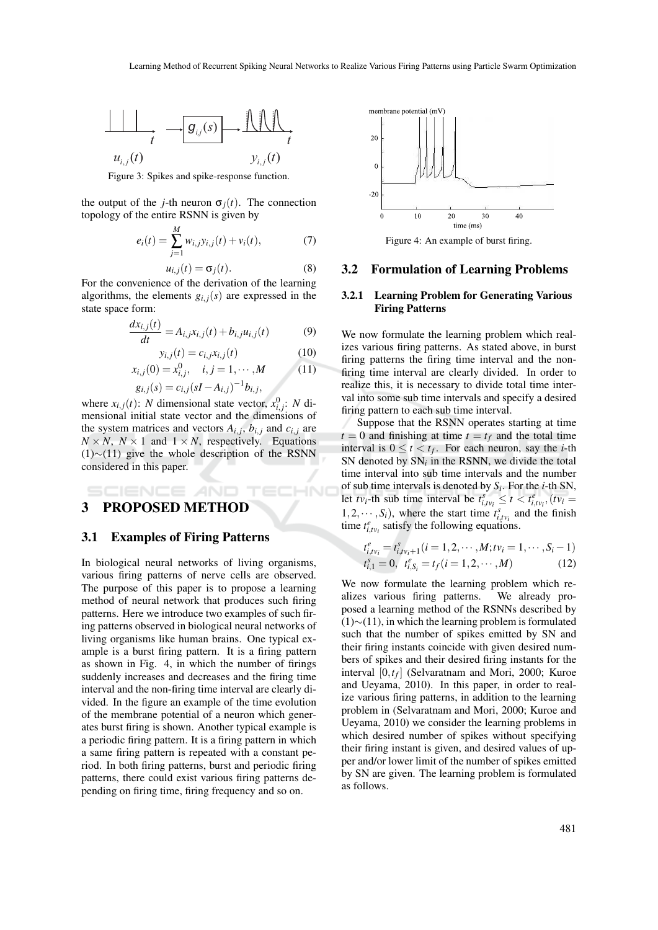

Figure 3: Spikes and spike-response function.

the output of the *j*-th neuron  $\sigma_i(t)$ . The connection topology of the entire RSNN is given by

$$
e_i(t) = \sum_{j=1}^{M} w_{i,j} y_{i,j}(t) + v_i(t),
$$
 (7)

$$
u_{i,j}(t) = \sigma_j(t). \tag{8}
$$

For the convenience of the derivation of the learning algorithms, the elements  $g_{i,j}(s)$  are expressed in the state space form:

$$
\frac{dx_{i,j}(t)}{dt} = A_{i,j}x_{i,j}(t) + b_{i,j}u_{i,j}(t)
$$
(9)

$$
y_{i,j}(t) = c_{i,j} x_{i,j}(t) \tag{10}
$$

$$
x_{i,j}(0) = x_{i,j}^0, \quad i, j = 1, \cdots, M
$$
 (11)

$$
g_{i,j}(s) = c_{i,j}(sI - A_{i,j})^{-1}b_{i,j},
$$

where  $x_{i,j}(t)$ : *N* dimensional state vector,  $x_{i,j}^0$ : *N* dimensional initial state vector and the dimensions of the system matrices and vectors  $A_{i,j}$ ,  $b_{i,j}$  and  $c_{i,j}$  are  $N \times N$ ,  $N \times 1$  and  $1 \times N$ , respectively. Equations (1)∼(11) give the whole description of the RSNN considered in this paper.

# 3 PROPOSED METHOD

# 3.1 Examples of Firing Patterns

In biological neural networks of living organisms, various firing patterns of nerve cells are observed. The purpose of this paper is to propose a learning method of neural network that produces such firing patterns. Here we introduce two examples of such firing patterns observed in biological neural networks of living organisms like human brains. One typical example is a burst firing pattern. It is a firing pattern as shown in Fig. 4, in which the number of firings suddenly increases and decreases and the firing time interval and the non-firing time interval are clearly divided. In the figure an example of the time evolution of the membrane potential of a neuron which generates burst firing is shown. Another typical example is a periodic firing pattern. It is a firing pattern in which a same firing pattern is repeated with a constant period. In both firing patterns, burst and periodic firing patterns, there could exist various firing patterns depending on firing time, firing frequency and so on.



Figure 4: An example of burst firing.

#### 3.2 Formulation of Learning Problems

### 3.2.1 Learning Problem for Generating Various Firing Patterns

We now formulate the learning problem which realizes various firing patterns. As stated above, in burst firing patterns the firing time interval and the nonfiring time interval are clearly divided. In order to realize this, it is necessary to divide total time interval into some sub time intervals and specify a desired firing pattern to each sub time interval.

Suppose that the RSNN operates starting at time  $t = 0$  and finishing at time  $t = t_f$  and the total time interval is  $0 \le t < t_f$ . For each neuron, say the *i*-th SN denoted by  $SN<sub>i</sub>$  in the RSNN, we divide the total time interval into sub time intervals and the number of sub time intervals is denoted by *S<sup>i</sup>* . For the *i*-th SN, let  $tv_i$ -th sub time interval be  $t_{i,tv_i}^s \leq t < t_{i,tv_i}^e$ ,  $(tv_i =$ 1,2,  $\cdots$ , *S<sub>i</sub>*), where the start time  $t_{i,tv_i}^s$  and the finish time  $t_{i,tv_i}^e$  satisfy the following equations.

$$
t_{i,tv_i}^e = t_{i,tv_i+1}^s (i = 1, 2, \cdots, M; tv_i = 1, \cdots, S_i - 1)
$$
  

$$
t_{i,1}^e = 0, \quad t_{i,S_i}^e = t_f (i = 1, 2, \cdots, M)
$$
 (12)

We now formulate the learning problem which realizes various firing patterns. We already proposed a learning method of the RSNNs described by (1)∼(11), in which the learning problem is formulated such that the number of spikes emitted by SN and their firing instants coincide with given desired numbers of spikes and their desired firing instants for the interval [0,*t<sup>f</sup>* ] (Selvaratnam and Mori, 2000; Kuroe and Ueyama, 2010). In this paper, in order to realize various firing patterns, in addition to the learning problem in (Selvaratnam and Mori, 2000; Kuroe and Ueyama, 2010) we consider the learning problems in which desired number of spikes without specifying their firing instant is given, and desired values of upper and/or lower limit of the number of spikes emitted by SN are given. The learning problem is formulated as follows.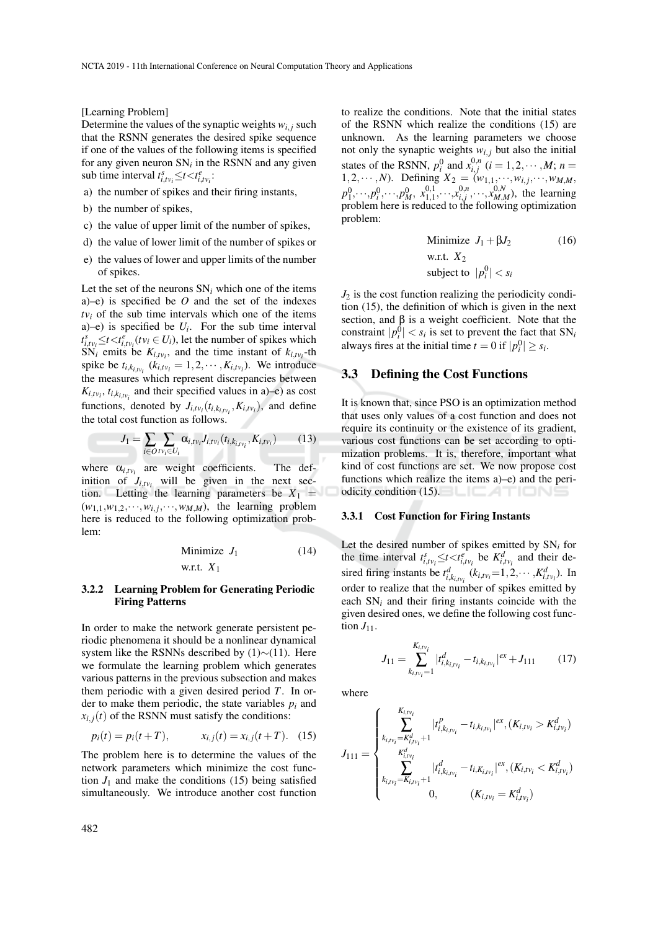[Learning Problem]

Determine the values of the synaptic weights  $w_{i,j}$  such that the RSNN generates the desired spike sequence if one of the values of the following items is specified for any given neuron  $SN<sub>i</sub>$  in the RSNN and any given sub time interval  $t_{i,tv_i}^s \le t < t_{i,tv_i}^e$ :

- a) the number of spikes and their firing instants,
- b) the number of spikes,
- c) the value of upper limit of the number of spikes,
- d) the value of lower limit of the number of spikes or
- e) the values of lower and upper limits of the number of spikes.

Let the set of the neurons  $SN_i$  which one of the items a)–e) is specified be *O* and the set of the indexes  $tv_i$  of the sub time intervals which one of the items a)–e) is specified be  $U_i$ . For the sub time interval  $t_{i,tv_i}^s \leq t < t_{i,tv_i}^e$  ( $tv_i \in U_i$ ), let the number of spikes which SN<sub>*i*</sub> emits be  $K_{i,tv_i}$ , and the time instant of  $k_{i,tv_i}$ -th spike be  $t_{i,k_{i,tv_i}}$  ( $k_{i,tv_i} = 1, 2, \cdots, K_{i,tv_i}$ ). We introduce the measures which represent discrepancies between  $K_{i,tv_i}$ ,  $t_{i,k_{i,tv_i}}$  and their specified values in a)–e) as cost functions, denoted by  $J_{i,tv_i}(t_{i,k_{i,tv_i}}, K_{i,tv_i})$ , and define the total cost function as follows.

$$
J_1 = \sum_{i \in O} \sum_{i \in U_i} \alpha_{i, i \vee i} J_{i, t \vee i} (t_{i, k_{i, t \vee i}}, K_{i, t \vee i}) \tag{13}
$$

where  $\alpha_{i,tv_i}$  are weight coefficients. The definition of  $J_{i,tv_i}$  will be given in the next section. Letting the learning parameters be  $X_1 =$  $(w_{1,1}, w_{1,2}, \dots, w_{i,j}, \dots, w_{M,M})$ , the learning problem here is reduced to the following optimization problem:

Minimize 
$$
J_1
$$
 (14)  
w.r.t.  $X_1$ 

#### 3.2.2 Learning Problem for Generating Periodic Firing Patterns

In order to make the network generate persistent periodic phenomena it should be a nonlinear dynamical system like the RSNNs described by (1)∼(11). Here we formulate the learning problem which generates various patterns in the previous subsection and makes them periodic with a given desired period *T*. In order to make them periodic, the state variables *p<sup>i</sup>* and  $x_{i,j}(t)$  of the RSNN must satisfy the conditions:

$$
p_i(t) = p_i(t+T), \qquad x_{i,j}(t) = x_{i,j}(t+T). \quad (15)
$$

The problem here is to determine the values of the network parameters which minimize the cost function  $J_1$  and make the conditions (15) being satisfied simultaneously. We introduce another cost function

to realize the conditions. Note that the initial states of the RSNN which realize the conditions (15) are unknown. As the learning parameters we choose not only the synaptic weights  $w_{i,j}$  but also the initial states of the RSNN,  $p_i^0$  and  $x_{i,j}^{0,n}$  ( $i = 1, 2, \dots, M$ ;  $n =$ 1,2,…,*N*). Defining  $X_2 = (w_{1,1},...,w_{i,j},...,w_{M,M},)$  $p_1^0, \dots, p_i^0, \dots, p_M^0, x_{1,1}^{0,1}, \dots, x_{i,j}^{0,n}, \dots, x_{M,M}^{0,N}$ , the learning problem here is reduced to the following optimization problem:

Minimize 
$$
J_1 + \beta J_2
$$
 (16)  
w.r.t.  $X_2$   
subject to  $|p_i^0| < s_i$ 

 $J_2$  is the cost function realizing the periodicity condition (15), the definition of which is given in the next section, and  $\beta$  is a weight coefficient. Note that the constraint  $|p_i^0| < s_i$  is set to prevent the fact that  $SN_i$ always fires at the initial time  $t = 0$  if  $|p_i^0| \geq s_i$ .

## 3.3 Defining the Cost Functions

It is known that, since PSO is an optimization method that uses only values of a cost function and does not require its continuity or the existence of its gradient, various cost functions can be set according to optimization problems. It is, therefore, important what kind of cost functions are set. We now propose cost functions which realize the items a)–e) and the periodicity condition (15).

#### 3.3.1 Cost Function for Firing Instants

Let the desired number of spikes emitted by  $SN_i$  for the time interval  $t_{i,tv_i}^s \le t < t_{i,tv_i}^e$  be  $K_{i,tv_i}^d$  and their desired firing instants be  $t_{i,k_{i}i_{t}i_{t}}^{d}$  ( $k_{i,tv_{i}} = 1, 2, \cdots, K_{i,tv_{i}}^{d}$ ). In order to realize that the number of spikes emitted by each SN*<sup>i</sup>* and their firing instants coincide with the given desired ones, we define the following cost function  $J_{11}$ .

$$
J_{11} = \sum_{k_{i,tv_i} = 1}^{K_{i,tv_i}} |t_{i,k_{i,tv_i}}^d - t_{i,k_{i,tv_i}}|^{ex} + J_{111}
$$
 (17)

where

$$
J_{111} = \begin{cases} \sum_{k_{i, v_i} = K_{i, v_i}^d} |t_{i, k_{i, v_i}}^p - t_{i, k_{i, v_i}}|^{ex}, (K_{i, v_i} > K_{i, v_i}^d) \\ \sum_{\substack{K_{i, v_i}^d \\ k_{i, v_i} = K_{i, v_i} + 1}}^{\substack{K_{i, v_i}^d \\ k_{i, v_i} + 1}} |t_{i, k_{i, v_i}}^d - t_{i, K_{i, v_i}}|^{ex}, (K_{i, v_i} < K_{i, v_i}^d) \\ 0, \qquad (K_{i, v_i} = K_{i, v_i}^d) \end{cases}
$$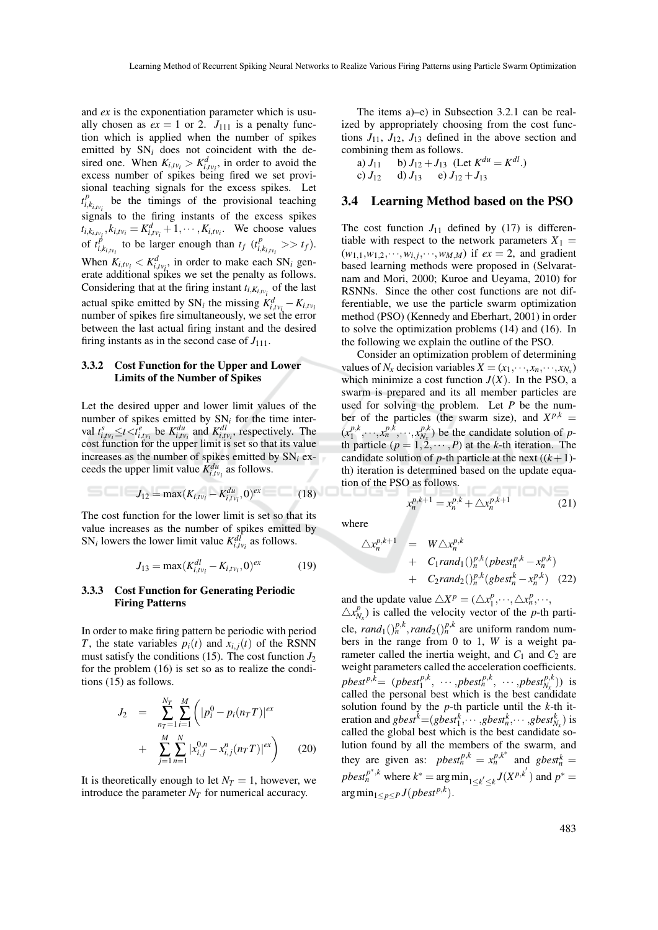and *ex* is the exponentiation parameter which is usually chosen as  $ex = 1$  or 2.  $J_{111}$  is a penalty function which is applied when the number of spikes emitted by  $SN_i$  does not coincident with the desired one. When  $K_{i,tv_i} > K_{i,tv_i}^d$ , in order to avoid the excess number of spikes being fired we set provisional teaching signals for the excess spikes. Let  $t_i^p$  $\int_{i,k_{i}v_i}^{p}$  be the timings of the provisional teaching signals to the firing instants of the excess spikes  $t_{i,k_i,v_i}$ ,  $k_{i,tv_i} = K_{i,tv_i}^d + 1, \cdots, K_{i,tv_i}$ . We choose values of  $t_i^p$  $\sum_{i,k_{i,t}v_i}^{p}$  to be larger enough than  $t_f$  ( $t_i^p$ )  $\int_{i,k_{i,tv_i}}^{p} >> t_f$ . When  $K_{i,tv_i} < K_{i,tv_i}^d$ , in order to make each  $SN_i$  generate additional spikes we set the penalty as follows. Considering that at the firing instant  $t_{i,K_{i,tv_i}}$  of the last actual spike emitted by SN<sub>i</sub> the missing  $K_{i,tv_i}^d - K_{i,tv_i}$ number of spikes fire simultaneously, we set the error between the last actual firing instant and the desired firing instants as in the second case of  $J_{111}$ .

#### 3.3.2 Cost Function for the Upper and Lower Limits of the Number of Spikes

Let the desired upper and lower limit values of the number of spikes emitted by SN*<sup>i</sup>* for the time interval  $t_{i,tv_i}^s \leq t < t_{i,tv_i}^e$  be  $K_{i,tv_i}^{du}$  and  $K_{i,tv_i}^{dl}$ , respectively. The cost function for the upper limit is set so that its value increases as the number of spikes emitted by SN*<sup>i</sup>* exceeds the upper limit value  $K_{i,tv_i}^{du}$  as follows.

$$
J_{12} = \max(K_{i, \nu_i} - K_{i, \nu_i}^{du}, 0)^{ex} \tag{18}
$$

The cost function for the lower limit is set so that its value increases as the number of spikes emitted by SN<sub>*i*</sub> lowers the lower limit value  $K_{i,tv_i}^{d\bar{l}}$  as follows.

$$
J_{13} = \max(K_{i,tv_i}^{dl} - K_{i,tv_i}, 0)^{ex}
$$
 (19)

#### 3.3.3 Cost Function for Generating Periodic Firing Patterns

In order to make firing pattern be periodic with period *T*, the state variables  $p_i(t)$  and  $x_{i,j}(t)$  of the RSNN must satisfy the conditions (15). The cost function  $J_2$ for the problem (16) is set so as to realize the conditions (15) as follows.

$$
J_2 = \sum_{n_T=1}^{N_T} \sum_{i=1}^{M} \left( |p_i^0 - p_i(n_T T)|^{ex} + \sum_{j=1}^{M} \sum_{n=1}^{N} |x_{i,j}^{0,n} - x_{i,j}^n(n_T T)|^{ex} \right)
$$
(20)

It is theoretically enough to let  $N_T = 1$ , however, we introduce the parameter  $N_T$  for numerical accuracy.

The items a)–e) in Subsection 3.2.1 can be realized by appropriately choosing from the cost functions  $J_{11}$ ,  $J_{12}$ ,  $J_{13}$  defined in the above section and combining them as follows.

a)  $J_{11}$  b)  $J_{12} + J_{13}$  (Let  $K^{du} = K^{dl}$ .) c)  $J_{12}$  d)  $J_{13}$  e)  $J_{12} + J_{13}$ 

## 3.4 Learning Method based on the PSO

The cost function  $J_{11}$  defined by (17) is differentiable with respect to the network parameters  $X_1 =$  $(w_{1,1}, w_{1,2}, \dots, w_{i,j}, \dots, w_{M,M})$  if  $ex = 2$ , and gradient based learning methods were proposed in (Selvaratnam and Mori, 2000; Kuroe and Ueyama, 2010) for RSNNs. Since the other cost functions are not differentiable, we use the particle swarm optimization method (PSO) (Kennedy and Eberhart, 2001) in order to solve the optimization problems (14) and (16). In the following we explain the outline of the PSO.

Consider an optimization problem of determining values of  $N_x$  decision variables  $X = (x_1, \dots, x_n, \dots, x_{N_x})$ which minimize a cost function  $J(X)$ . In the PSO, a swarm is prepared and its all member particles are used for solving the problem. Let *P* be the number of the particles (the swarm size), and  $X^{p,k}$  =  $(x_1^{p,k})$  $x_1^{p,k}, \dots, x_n^{p,k}, \dots, x_{N_x}^{p,k}$  be the candidate solution of *p*th particle  $(p = 1, 2, \dots, P)$  at the *k*-th iteration. The candidate solution of *p*-th particle at the next  $((k+1)$ th) iteration is determined based on the update equation of the PSO as follows.

$$
x_n^{p,k+1} = x_n^{p,k} + \triangle x_n^{p,k+1}
$$
 (21)

where

$$
\begin{array}{rcl}\n\triangle x_n^{p,k+1} & = & W \triangle x_n^{p,k} \\
& + & C_1 \cdot \text{rand}_1 \big( \big)_{n}^{p,k} \big( \text{pbest}_n^{p,k} - x_n^{p,k} \big) \\
& + & C_2 \cdot \text{rand}_2 \big( \big)_{n}^{p,k} \big( \text{gbest}_n^k - x_n^{p,k} \big) \quad (22)\n\end{array}
$$

and the update value  $\triangle X^p = (\triangle x_1^p)$  $\frac{p}{1}, \dots, \triangle x_n^p, \dots,$ 

 $\triangle x_{N_x}^p$  is called the velocity vector of the *p*-th particle,  $rand_1()^{p,k}_n, rand_2()^{p,k}_n$  are uniform random numbers in the range from 0 to 1, *W* is a weight parameter called the inertia weight, and  $C_1$  and  $C_2$  are weight parameters called the acceleration coefficients.  $pbest^{p,k} = (pbest_1^{p,k}, \dots, pbest_n^{p,k}, \dots, pbest_{N_x}^{p,k}))$  is called the personal best which is the best candidate solution found by the *p*-th particle until the *k*-th iteration and  $gbest^k = (gbest^k_1, \cdots, gbest^k_n, \cdots, gbest^k_N)$  is called the global best which is the best candidate solution found by all the members of the swarm, and they are given as: *pbest*<sup>*p*,*k*</sup></sup> =  $x_n^{p,k^*}$  and *gbest*<sup>*k*</sup><sub>n</sub> =  $pbest_n^{p^*,k}$  where  $k^* = \arg \min_{1 \leq k' \leq k} J(X^{p,k'})$  and  $p^* =$  $\arg \min_{1 \leq p \leq P} J(pbest^{p,k}).$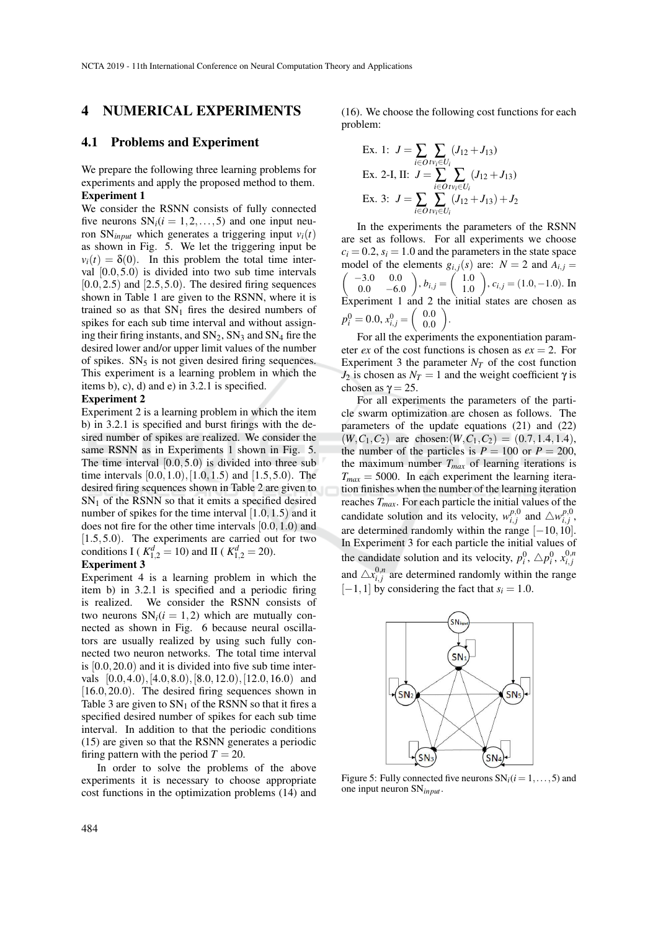NCTA 2019 - 11th International Conference on Neural Computation Theory and Applications

# 4 NUMERICAL EXPERIMENTS

### 4.1 Problems and Experiment

We prepare the following three learning problems for experiments and apply the proposed method to them. Experiment 1

We consider the RSNN consists of fully connected five neurons  $SN_i(i = 1, 2, ..., 5)$  and one input neuron  $SN_{input}$  which generates a triggering input  $v_i(t)$ as shown in Fig. 5. We let the triggering input be  $v_i(t) = \delta(0)$ . In this problem the total time interval [0.0,5.0) is divided into two sub time intervals  $[0.0, 2.5)$  and  $[2.5, 5.0)$ . The desired firing sequences shown in Table 1 are given to the RSNN, where it is trained so as that  $SN_1$  fires the desired numbers of spikes for each sub time interval and without assigning their firing instants, and  $SN_2$ ,  $SN_3$  and  $SN_4$  fire the desired lower and/or upper limit values of the number of spikes.  $SN<sub>5</sub>$  is not given desired firing sequences. This experiment is a learning problem in which the items b), c), d) and e) in 3.2.1 is specified.

#### Experiment 2

Experiment 2 is a learning problem in which the item b) in 3.2.1 is specified and burst firings with the desired number of spikes are realized. We consider the same RSNN as in Experiments 1 shown in Fig. 5. The time interval  $[0.0, 5.0)$  is divided into three sub time intervals  $[0.0, 1.0), [1.0, 1.5)$  and  $[1.5, 5.0)$ . The desired firing sequences shown in Table 2 are given to  $SN<sub>1</sub>$  of the RSNN so that it emits a specified desired number of spikes for the time interval [1.0, 1.5) and it does not fire for the other time intervals [0.0,1.0) and [1.5,5.0). The experiments are carried out for two conditions I ( $K_{1,2}^d = 10$ ) and II ( $K_{1,2}^d = 20$ ).

### Experiment 3

Experiment 4 is a learning problem in which the item b) in 3.2.1 is specified and a periodic firing is realized. We consider the RSNN consists of two neurons  $SN<sub>i</sub>(i = 1,2)$  which are mutually connected as shown in Fig. 6 because neural oscillators are usually realized by using such fully connected two neuron networks. The total time interval is [0.0,20.0) and it is divided into five sub time intervals [0.0,4.0),[4.0,8.0),[8.0,12.0),[12.0,16.0) and  $[16.0, 20.0]$ . The desired firing sequences shown in Table 3 are given to  $SN_1$  of the RSNN so that it fires a specified desired number of spikes for each sub time interval. In addition to that the periodic conditions (15) are given so that the RSNN generates a periodic firing pattern with the period  $T = 20$ .

In order to solve the problems of the above experiments it is necessary to choose appropriate cost functions in the optimization problems (14) and

(16). We choose the following cost functions for each problem:

Ex. 1: 
$$
J = \sum_{i \in O} \sum_{t \in U_i} (J_{12} + J_{13})
$$
  
\nEx. 2-I, II:  $J = \sum_{i \in O} \sum_{t \in U_i} (J_{12} + J_{13})$   
\nEx. 3:  $J = \sum_{i \in O} \sum_{t \in U_i} (J_{12} + J_{13}) + J_2$ 

In the experiments the parameters of the RSNN are set as follows. For all experiments we choose  $c_i = 0.2$ ,  $s_i = 1.0$  and the parameters in the state space model of the elements  $g_{i,j}(s)$  are:  $N = 2$  and  $A_{i,j} =$  $\sqrt{-3.0}$  0.0  $0.0 -6.0$  $\bigg), b_{i,j} = \left( \begin{array}{c} 1.0 \\ 1.0 \end{array} \right)$ 1.0  $\bigg), c_{i,j} = (1.0, −1.0).$  In Experiment 1 and 2 the initial states are chosen as  $p_i^0 = 0.0, x_{i,j}^0 = \begin{pmatrix} 0.0 \\ 0.0 \end{pmatrix}$ 0.0 .

For all the experiments the exponentiation parameter *ex* of the cost functions is chosen as  $ex = 2$ . For Experiment 3 the parameter  $N_T$  of the cost function *J*<sub>2</sub> is chosen as  $N_T = 1$  and the weight coefficient γ is chosen as  $\gamma = 25$ .

For all experiments the parameters of the particle swarm optimization are chosen as follows. The parameters of the update equations (21) and (22)  $(W, C_1, C_2)$  are chosen:  $(W, C_1, C_2) = (0.7, 1.4, 1.4)$ , the number of the particles is  $P = 100$  or  $P = 200$ , the maximum number  $T_{max}$  of learning iterations is  $T_{max}$  = 5000. In each experiment the learning iteration finishes when the number of the learning iteration reaches *Tmax*. For each particle the initial values of the candidate solution and its velocity,  $w_{i,j}^{p,0}$  and  $\triangle w_{i,j}^{p,0}$ , are determined randomly within the range  $[-10,10]$ . In Experiment 3 for each particle the initial values of the candidate solution and its velocity,  $p_i^0$ ,  $\triangle p_i^0$ ,  $x_{i,j}^{0,n}$ and  $\triangle x_{i,j}^{0,n}$  are determined randomly within the range  $[-1,1]$  by considering the fact that  $s_i = 1.0$ .



Figure 5: Fully connected five neurons  $SN_i(i = 1, ..., 5)$  and one input neuron SN*input* .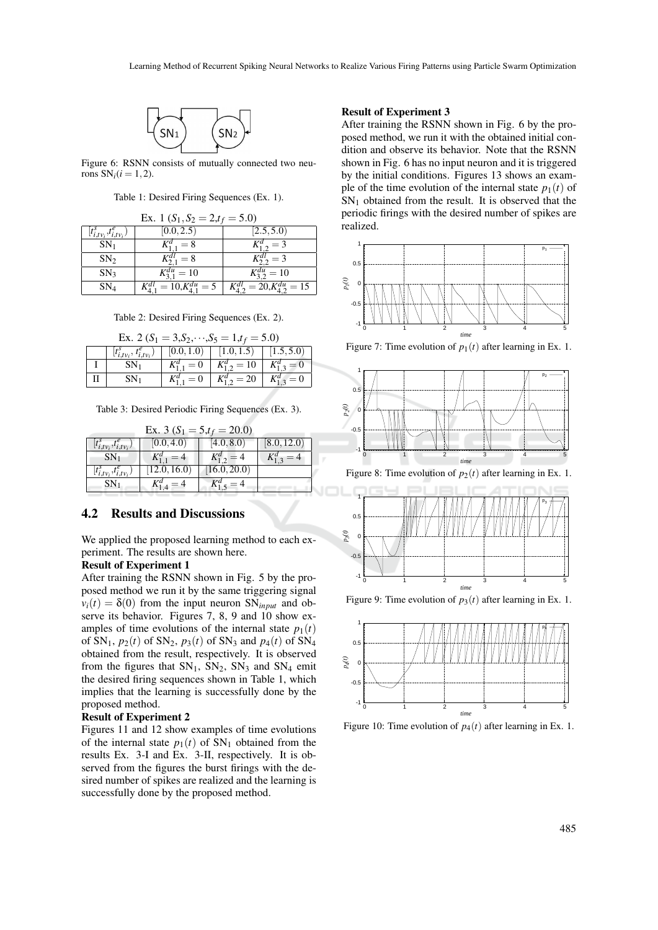

Figure 6: RSNN consists of mutually connected two neurons  $SN<sub>i</sub>(i = 1, 2)$ .

Table 1: Desired Firing Sequences (Ex. 1).

| Ex. 1 $(S_1, S_2 = 2, t_f = 5.0)$         |                          |                     |  |  |
|-------------------------------------------|--------------------------|---------------------|--|--|
| $[t_{i,tv_i}^{\rm s},t_{i,tv_i}^{\rm e})$ | [0.0, 2.5)               | [2.5, 5.0]          |  |  |
| $SN_1$                                    | $K_{1,1}^d = 8$          | $K_{1,2}^a = 3$     |  |  |
| SN <sub>2</sub>                           | $K^{dl}_{2,1} = 8$       | $K_2^{al_2} = 3$    |  |  |
| SN <sub>3</sub>                           | $K_{31}^{du} = 10$       | $K_3^{du} = 10$     |  |  |
| SN <sub>4</sub>                           | $= 10, K_{4,1}^{du} = 5$ | $20, K_4^{du} = 15$ |  |  |

Table 2: Desired Firing Sequences (Ex. 2).

| Ex. 2 ( $S_1 = 3, S_2, \dots, S_5 = 1, t_f = 5.0$ ) |                 |                 |                                                                             |                 |  |  |
|-----------------------------------------------------|-----------------|-----------------|-----------------------------------------------------------------------------|-----------------|--|--|
|                                                     |                 |                 | $ t_{i,tv_i}^s, t_{i,tv_i}^e\rangle   [0.0, 1.0]   [1.0, 1.5]   [1.5, 5.0]$ |                 |  |  |
|                                                     | SN <sub>1</sub> | $K_{1,1}^d = 0$ | $K_{1,2}^d = 10 \mid K_{1,3}^d = 0$                                         |                 |  |  |
|                                                     | $SN_1$          | $K_{1,1}^d = 0$ | $K_1^d$ <sub>2</sub> = 20                                                   | $K_{1,3}^d = 0$ |  |  |

Table 3: Desired Periodic Firing Sequences (Ex. 3).

| Ex. 3 ( $S_1 = 5$ , $t_f = 20.0$ )       |                 |                   |                 |  |  |  |
|------------------------------------------|-----------------|-------------------|-----------------|--|--|--|
| $[t_{i,tv_i}^s,t_{i,tv_i}^e]$            | (0.0, 4.0)      | (4.0, 8.0)        | [8.0, 12.0]     |  |  |  |
| $SN_{1}$                                 | $K_{1,1}^d = 4$ | $K_1^a{}_{2} = 4$ | $K_{1,3}^d = 4$ |  |  |  |
| $\left[t_{i,tv_i}^s,t_{i,tv_i}^e\right)$ | [12.0, 16.0]    | (16.0, 20.0)      |                 |  |  |  |
|                                          |                 |                   |                 |  |  |  |

## 4.2 Results and Discussions

We applied the proposed learning method to each experiment. The results are shown here.

### Result of Experiment 1

After training the RSNN shown in Fig. 5 by the proposed method we run it by the same triggering signal  $v_i(t) = \delta(0)$  from the input neuron SN<sub>*input*</sub> and observe its behavior. Figures 7, 8, 9 and 10 show examples of time evolutions of the internal state  $p_1(t)$ of SN<sub>1</sub>,  $p_2(t)$  of SN<sub>2</sub>,  $p_3(t)$  of SN<sub>3</sub> and  $p_4(t)$  of SN<sub>4</sub> obtained from the result, respectively. It is observed from the figures that  $SN_1$ ,  $SN_2$ ,  $SN_3$  and  $SN_4$  emit the desired firing sequences shown in Table 1, which implies that the learning is successfully done by the proposed method.

#### Result of Experiment 2

Figures 11 and 12 show examples of time evolutions of the internal state  $p_1(t)$  of SN<sub>1</sub> obtained from the results Ex. 3-I and Ex. 3-II, respectively. It is observed from the figures the burst firings with the desired number of spikes are realized and the learning is successfully done by the proposed method.

#### Result of Experiment 3

After training the RSNN shown in Fig. 6 by the proposed method, we run it with the obtained initial condition and observe its behavior. Note that the RSNN shown in Fig. 6 has no input neuron and it is triggered by the initial conditions. Figures 13 shows an example of the time evolution of the internal state  $p_1(t)$  of  $SN<sub>1</sub>$  obtained from the result. It is observed that the periodic firings with the desired number of spikes are realized.



Figure 7: Time evolution of  $p_1(t)$  after learning in Ex. 1.



Figure 8: Time evolution of  $p_2(t)$  after learning in Ex. 1.



Figure 9: Time evolution of  $p_3(t)$  after learning in Ex. 1.



Figure 10: Time evolution of  $p_4(t)$  after learning in Ex. 1.